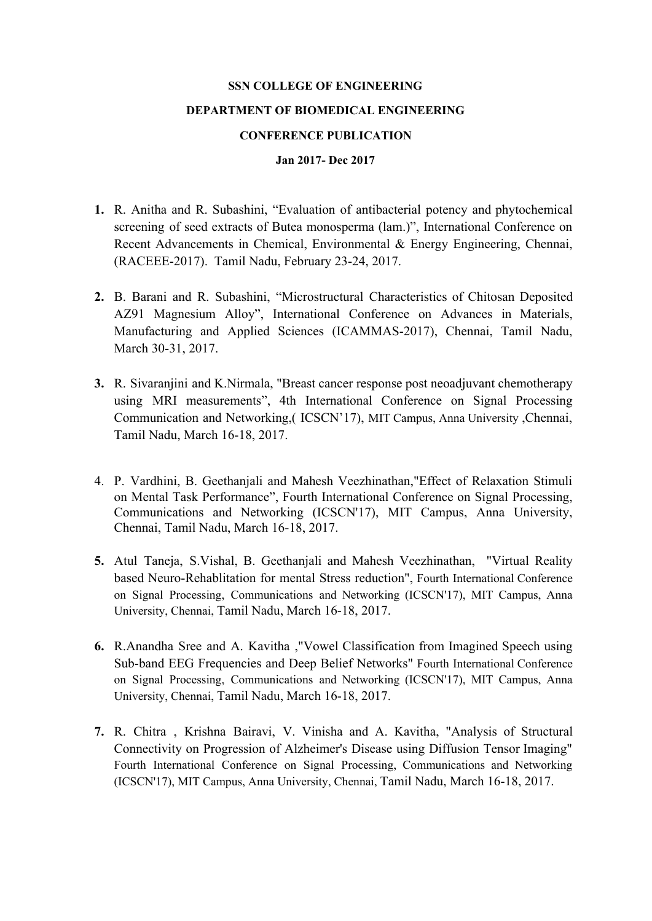## **SSN COLLEGE OF ENGINEERING**

## **DEPARTMENT OF BIOMEDICAL ENGINEERING**

## **CONFERENCE PUBLICATION**

## **Jan 2017- Dec 2017**

- **1.** R. Anitha and R. Subashini, "Evaluation of antibacterial potency and phytochemical screening of seed extracts of Butea monosperma (lam.)", International Conference on Recent Advancements in Chemical, Environmental & Energy Engineering, Chennai, (RACEEE-2017). Tamil Nadu, February 23-24, 2017.
- **2.** B. Barani and R. Subashini, "Microstructural Characteristics of Chitosan Deposited AZ91 Magnesium Alloy", International Conference on Advances in Materials, Manufacturing and Applied Sciences (ICAMMAS-2017), Chennai, Tamil Nadu, March 30-31, 2017.
- **3.** R. Sivaranjini and K.Nirmala, "Breast cancer response post neoadjuvant chemotherapy using MRI measurements", 4th International Conference on Signal Processing Communication and Networking,( ICSCN'17), MIT Campus, Anna University ,Chennai, Tamil Nadu, March 16-18, 2017.
- 4. P. Vardhini, B. Geethanjali and Mahesh Veezhinathan,"Effect of Relaxation Stimuli on Mental Task Performance", Fourth International Conference on Signal Processing, Communications and Networking (ICSCN'17), MIT Campus, Anna University, Chennai, Tamil Nadu, March 16-18, 2017.
- **5.** Atul Taneja, S.Vishal, B. Geethanjali and Mahesh Veezhinathan, "Virtual Reality based Neuro-Rehablitation for mental Stress reduction", Fourth International Conference on Signal Processing, Communications and Networking (ICSCN'17), MIT Campus, Anna University, Chennai, Tamil Nadu, March 16-18, 2017.
- **6.** R.Anandha Sree and A. Kavitha ,"Vowel Classification from Imagined Speech using Sub-band EEG Frequencies and Deep Belief Networks" Fourth International Conference on Signal Processing, Communications and Networking (ICSCN'17), MIT Campus, Anna University, Chennai, Tamil Nadu, March 16-18, 2017.
- **7.** R. Chitra , Krishna Bairavi, V. Vinisha and A. Kavitha, "Analysis of Structural Connectivity on Progression of Alzheimer's Disease using Diffusion Tensor Imaging" Fourth International Conference on Signal Processing, Communications and Networking (ICSCN'17), MIT Campus, Anna University, Chennai, Tamil Nadu, March 16-18, 2017.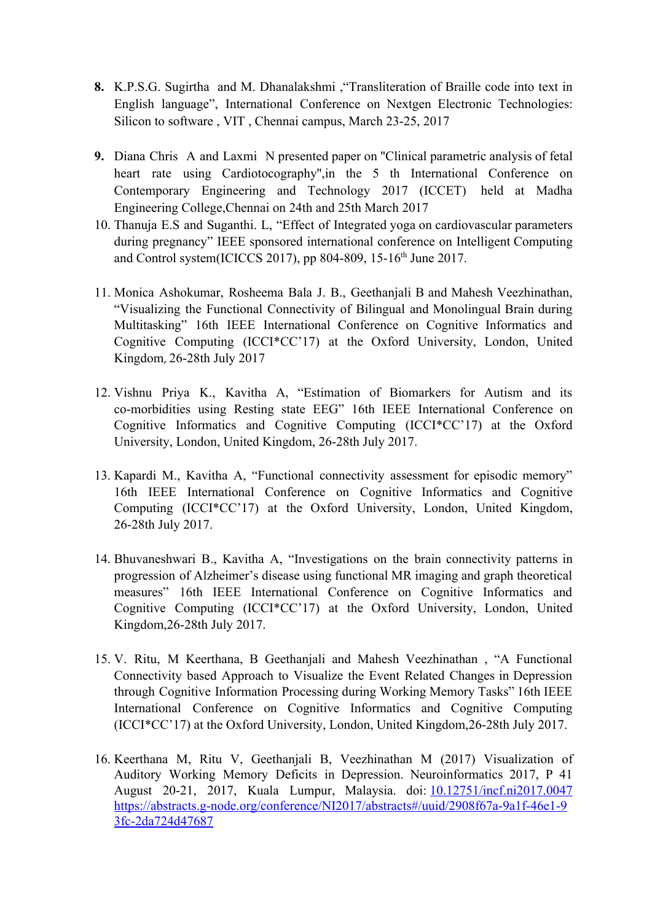- **8.** K.P.S.G. Sugirtha and M. Dhanalakshmi ,"Transliteration of Braille code into text in English language", International Conference on Nextgen Electronic Technologies: Silicon to software , VIT , Chennai campus, March 23-25, 2017
- **9.** Diana Chris A and Laxmi N presented paper on ''Clinical parametric analysis of fetal heart rate using Cardiotocography'',in the 5 th International Conference on Contemporary Engineering and Technology 2017 (ICCET) held at Madha Engineering College,Chennai on 24th and 25th March 2017
- 10. Thanuja E.S and Suganthi. L, "Effect of Integrated yoga on cardiovascular parameters during pregnancy" IEEE sponsored international conference on Intelligent Computing and Control system(ICICCS 2017), pp 804-809, 15-16<sup>th</sup> June 2017.
- 11. Monica Ashokumar, Rosheema Bala J. B., Geethanjali B and Mahesh Veezhinathan, "Visualizing the Functional Connectivity of Bilingual and Monolingual Brain during Multitasking" 16th IEEE International Conference on Cognitive Informatics and Cognitive Computing (ICCI\*CC'17) at the Oxford University, London, United Kingdom, 26-28th July 2017
- 12. Vishnu Priya K., Kavitha A, "Estimation of Biomarkers for Autism and its co-morbidities using Resting state EEG" 16th IEEE International Conference on Cognitive Informatics and Cognitive Computing (ICCI\*CC'17) at the Oxford University, London, United Kingdom, 26-28th July 2017.
- 13. Kapardi M., Kavitha A, "Functional connectivity assessment for episodic memory" 16th IEEE International Conference on Cognitive Informatics and Cognitive Computing (ICCI\*CC'17) at the Oxford University, London, United Kingdom, 26-28th July 2017.
- 14. Bhuvaneshwari B., Kavitha A, "Investigations on the brain connectivity patterns in progression of Alzheimer's disease using functional MR imaging and graph theoretical measures" 16th IEEE International Conference on Cognitive Informatics and Cognitive Computing (ICCI\*CC'17) at the Oxford University, London, United Kingdom,26-28th July 2017.
- 15. V. Ritu, M Keerthana, B Geethanjali and Mahesh Veezhinathan , "A Functional Connectivity based Approach to Visualize the Event Related Changes in Depression through Cognitive Information Processing during Working Memory Tasks" 16th IEEE International Conference on Cognitive Informatics and Cognitive Computing (ICCI\*CC'17) at the Oxford University, London, United Kingdom,26-28th July 2017.
- 16. Keerthana M, Ritu V, Geethanjali B, Veezhinathan M (2017) Visualization of Auditory Working Memory Deficits in Depression. Neuroinformatics 2017, P 41 August 20-21, 2017, Kuala Lumpur, Malaysia. doi: [10.12751/incf.ni2017.0047](http://doi.org/10.12751/incf.ni2017.0047) [https://abstracts.g-node.org/conference/NI2017/abstracts#/uuid/2908f67a-9a1f-46e1-9](https://abstracts.g-node.org/conference/NI2017/abstracts#/uuid/2908f67a-9a1f-46e1-93fc-2da724d47687) [3fc-2da724d47687](https://abstracts.g-node.org/conference/NI2017/abstracts#/uuid/2908f67a-9a1f-46e1-93fc-2da724d47687)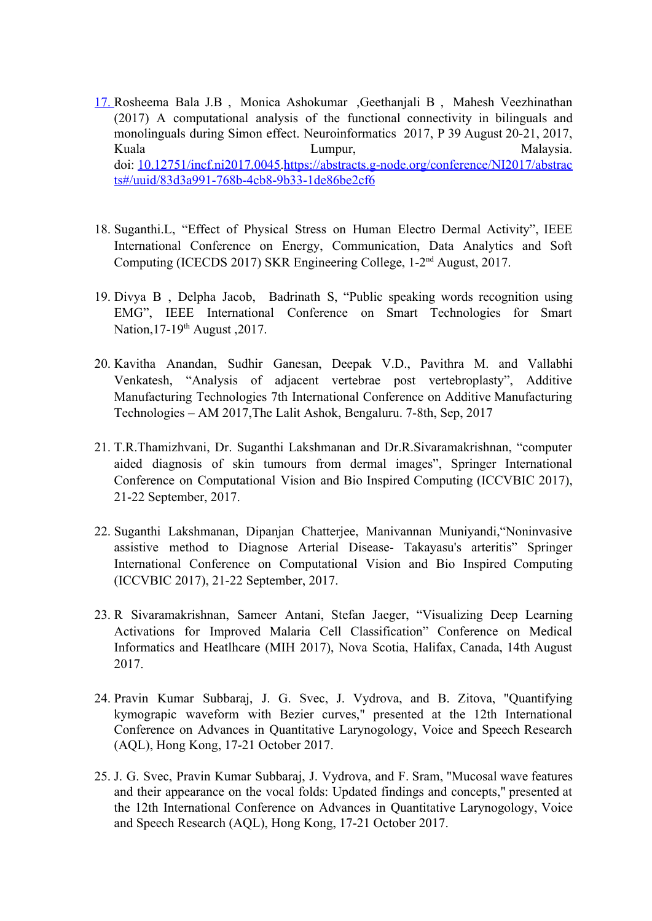- 17. Rosheema Bala J.B , Monica Ashokumar ,Geethanjali B , Mahesh Veezhinathan (2017) A computational analysis of the functional connectivity in bilinguals and monolinguals during Simon effect. Neuroinformatics 2017, P 39 August 20-21, 2017, Kuala **Lumpur**, Lumpur, Malaysia. doi: [10.12751/incf.ni2017.0045.](http://doi.org/10.12751/incf.ni2017.0045)[https://abstracts.g-node.org/conference/NI2017/abstrac](https://abstracts.g-node.org/conference/NI2017/abstracts#/uuid/83d3a991-768b-4cb8-9b33-1de86be2cf6) [ts#/uuid/83d3a991-768b-4cb8-9b33-1de86be2cf6](https://abstracts.g-node.org/conference/NI2017/abstracts#/uuid/83d3a991-768b-4cb8-9b33-1de86be2cf6)
- 18. Suganthi.L, "Effect of Physical Stress on Human Electro Dermal Activity", IEEE International Conference on Energy, Communication, Data Analytics and Soft Computing (ICECDS 2017) SKR Engineering College, 1-2nd August, 2017.
- 19. Divya B , Delpha Jacob, Badrinath S, "Public speaking words recognition using EMG", IEEE International Conference on Smart Technologies for Smart Nation, 17-19<sup>th</sup> August, 2017.
- 20. Kavitha Anandan, Sudhir Ganesan, Deepak V.D., Pavithra M. and Vallabhi Venkatesh, "Analysis of adjacent vertebrae post vertebroplasty", Additive Manufacturing Technologies 7th International Conference on Additive Manufacturing Technologies – AM 2017,The Lalit Ashok, Bengaluru. 7-8th, Sep, 2017
- 21. T.R.Thamizhvani, Dr. Suganthi Lakshmanan and Dr.R.Sivaramakrishnan, "computer aided diagnosis of skin tumours from dermal images", Springer International Conference on Computational Vision and Bio Inspired Computing (ICCVBIC 2017), 21-22 September, 2017.
- 22. Suganthi Lakshmanan, Dipanjan Chatterjee, Manivannan Muniyandi,"Noninvasive assistive method to Diagnose Arterial Disease- Takayasu's arteritis" Springer International Conference on Computational Vision and Bio Inspired Computing (ICCVBIC 2017), 21-22 September, 2017.
- 23. R Sivaramakrishnan, Sameer Antani, Stefan Jaeger, "Visualizing Deep Learning Activations for Improved Malaria Cell Classification" Conference on Medical Informatics and Heatlhcare (MIH 2017), Nova Scotia, Halifax, Canada, 14th August 2017.
- 24. Pravin Kumar Subbaraj, J. G. Svec, J. Vydrova, and B. Zitova, "Quantifying kymograpic waveform with Bezier curves," presented at the 12th International Conference on Advances in Quantitative Larynogology, Voice and Speech Research (AQL), Hong Kong, 17-21 October 2017.
- 25. J. G. Svec, Pravin Kumar Subbaraj, J. Vydrova, and F. Sram, "Mucosal wave features and their appearance on the vocal folds: Updated findings and concepts," presented at the 12th International Conference on Advances in Quantitative Larynogology, Voice and Speech Research (AQL), Hong Kong, 17-21 October 2017.